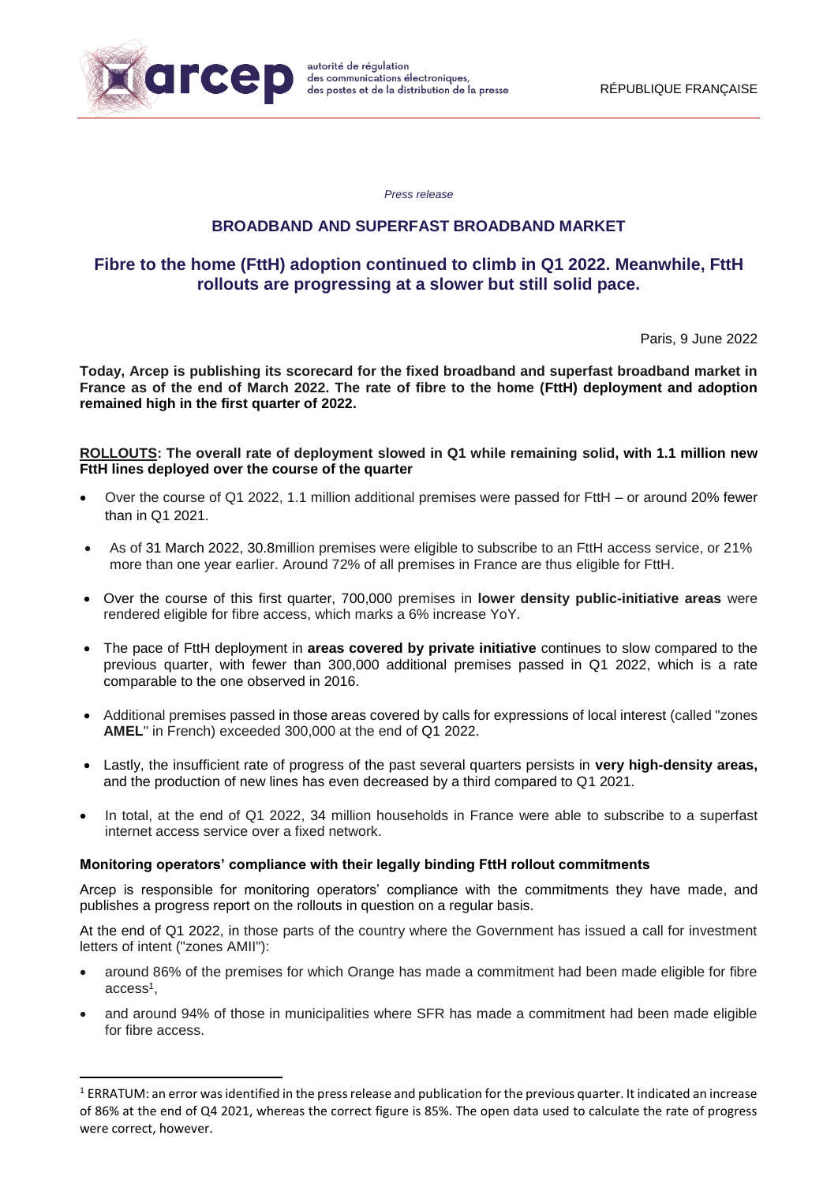

1

*Press release*

# **BROADBAND AND SUPERFAST BROADBAND MARKET**

# **Fibre to the home (FttH) adoption continued to climb in Q1 2022. Meanwhile, FttH rollouts are progressing at a slower but still solid pace.**

Paris, 9 June 2022

**Today, Arcep is publishing its scorecard for the fixed broadband and superfast broadband market in France as of the end of March 2022. The rate of fibre to the home (FttH) deployment and adoption remained high in the first quarter of 2022.**

#### **ROLLOUTS: The overall rate of deployment slowed in Q1 while remaining solid, with 1.1 million new FttH lines deployed over the course of the quarter**

- Over the course of Q1 2022, 1.1 million additional premises were passed for FttH or around 20% fewer than in Q1 2021.
- As of 31 March 2022, 30.8million premises were eligible to subscribe to an FttH access service, or 21% more than one year earlier. Around 72% of all premises in France are thus eligible for FttH.
- Over the course of this first quarter, 700,000 premises in **lower density public-initiative areas** were rendered eligible for fibre access, which marks a 6% increase YoY.
- The pace of FttH deployment in **areas covered by private initiative** continues to slow compared to the previous quarter, with fewer than 300,000 additional premises passed in Q1 2022, which is a rate comparable to the one observed in 2016.
- Additional premises passed in those areas covered by calls for expressions of local interest (called "zones **AMEL**" in French) exceeded 300,000 at the end of Q1 2022.
- Lastly, the insufficient rate of progress of the past several quarters persists in **very high-density areas,**  and the production of new lines has even decreased by a third compared to Q1 2021.
- In total, at the end of Q1 2022, 34 million households in France were able to subscribe to a superfast internet access service over a fixed network.

#### **Monitoring operators' compliance with their legally binding FttH rollout commitments**

Arcep is responsible for monitoring operators' compliance with the commitments they have made, and publishes a progress report on the rollouts in question on a regular basis.

At the end of Q1 2022, in those parts of the country where the Government has issued a call for investment letters of intent ("zones AMII"):

- around 86% of the premises for which Orange has made a commitment had been made eligible for fibre access<sup>1</sup>,
- and around 94% of those in municipalities where SFR has made a commitment had been made eligible for fibre access.

<sup>1</sup> ERRATUM: an error was identified in the press release and publication for the previous quarter. It indicated an increase of 86% at the end of Q4 2021, whereas the correct figure is 85%. The open data used to calculate the rate of progress were correct, however.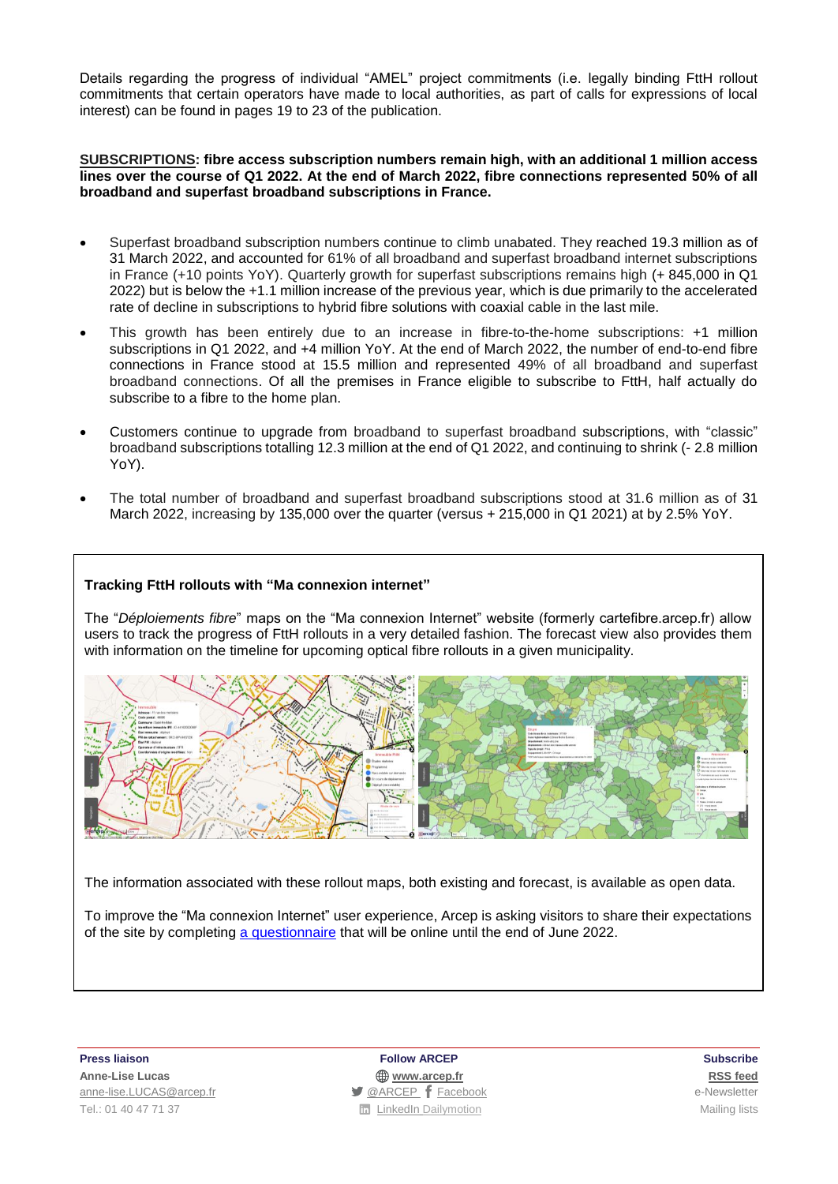Details regarding the progress of individual "AMEL" project commitments (i.e. legally binding FttH rollout commitments that certain operators have made to local authorities, as part of calls for expressions of local interest) can be found in pages 19 to 23 of the publication.

### **SUBSCRIPTIONS: fibre access subscription numbers remain high, with an additional 1 million access lines over the course of Q1 2022. At the end of March 2022, fibre connections represented 50% of all broadband and superfast broadband subscriptions in France.**

- Superfast broadband subscription numbers continue to climb unabated. They reached 19.3 million as of 31 March 2022, and accounted for 61% of all broadband and superfast broadband internet subscriptions in France (+10 points YoY). Quarterly growth for superfast subscriptions remains high (+ 845,000 in Q1 2022) but is below the +1.1 million increase of the previous year, which is due primarily to the accelerated rate of decline in subscriptions to hybrid fibre solutions with coaxial cable in the last mile.
- This growth has been entirely due to an increase in fibre-to-the-home subscriptions: +1 million subscriptions in Q1 2022, and +4 million YoY. At the end of March 2022, the number of end-to-end fibre connections in France stood at 15.5 million and represented 49% of all broadband and superfast broadband connections. Of all the premises in France eligible to subscribe to FttH, half actually do subscribe to a fibre to the home plan.
- Customers continue to upgrade from broadband to superfast broadband subscriptions, with "classic" broadband subscriptions totalling 12.3 million at the end of Q1 2022, and continuing to shrink (- 2.8 million YoY).
- The total number of broadband and superfast broadband subscriptions stood at 31.6 million as of 31 March 2022, increasing by 135,000 over the quarter (versus + 215,000 in Q1 2021) at by 2.5% YoY.

## **Tracking FttH rollouts with "Ma connexion internet"**

The "*Déploiements fibre*" maps on the "Ma connexion Internet" website (formerly cartefibre.arcep.fr) allow users to track the progress of FttH rollouts in a very detailed fashion. The forecast view also provides them with information on the timeline for upcoming optical fibre rollouts in a given municipality.



The information associated with these rollout maps, both existing and forecast, is available as open data.

To improve the "Ma connexion Internet" user experience, Arcep is asking visitors to share their expectations of the site by completing a [questionnaire](https://framaforms.org/enquete-ma-connexion-internet-1645439739) that will be online until the end of June 2022.